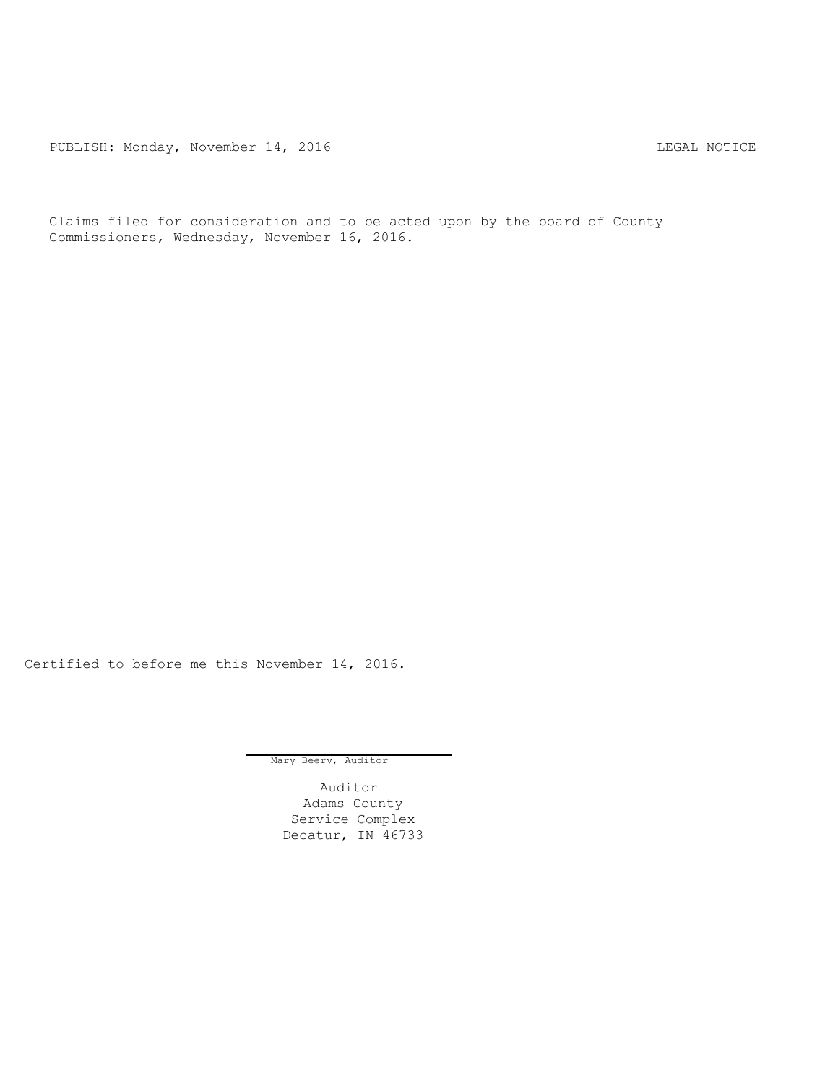PUBLISH: Monday, November 14, 2016 CHA CHANGE CONTROLLING MOTICE

Claims filed for consideration and to be acted upon by the board of County Commissioners, Wednesday, November 16, 2016.

Certified to before me this November 14, 2016.

Mary Beery, Auditor

Auditor Adams County Service Complex Decatur, IN 46733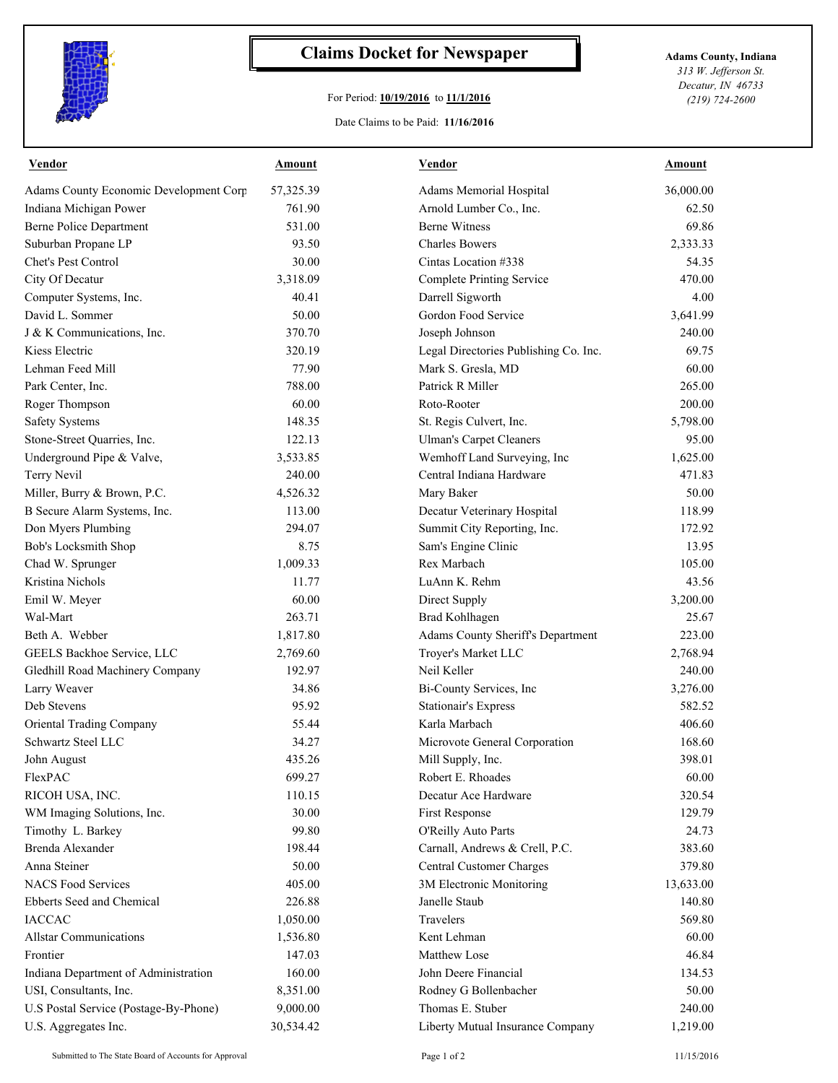

## **Claims Docket for Newspaper Adams County, Indiana**

## For Period: **10/19/2016** to **11/1/2016**

Date Claims to be Paid: **11/16/2016**

*313 W. Jefferson St. Decatur, IN 46733 (219) 724-2600*

| <b>Vendor</b>                          | Amount    | <u>Vendor</u>                         | Amount    |
|----------------------------------------|-----------|---------------------------------------|-----------|
| Adams County Economic Development Corp | 57,325.39 | Adams Memorial Hospital               | 36,000.00 |
| Indiana Michigan Power                 | 761.90    | Arnold Lumber Co., Inc.               | 62.50     |
| <b>Berne Police Department</b>         | 531.00    | <b>Berne Witness</b>                  | 69.86     |
| Suburban Propane LP                    | 93.50     | <b>Charles Bowers</b>                 | 2,333.33  |
| Chet's Pest Control                    | 30.00     | Cintas Location #338                  | 54.35     |
| City Of Decatur                        | 3,318.09  | <b>Complete Printing Service</b>      | 470.00    |
| Computer Systems, Inc.                 | 40.41     | Darrell Sigworth                      | 4.00      |
| David L. Sommer                        | 50.00     | Gordon Food Service                   | 3,641.99  |
| J & K Communications, Inc.             | 370.70    | Joseph Johnson                        | 240.00    |
| Kiess Electric                         | 320.19    | Legal Directories Publishing Co. Inc. | 69.75     |
| Lehman Feed Mill                       | 77.90     | Mark S. Gresla, MD                    | 60.00     |
| Park Center, Inc.                      | 788.00    | Patrick R Miller                      | 265.00    |
| Roger Thompson                         | 60.00     | Roto-Rooter                           | 200.00    |
| <b>Safety Systems</b>                  | 148.35    | St. Regis Culvert, Inc.               | 5,798.00  |
| Stone-Street Quarries, Inc.            | 122.13    | <b>Ulman's Carpet Cleaners</b>        | 95.00     |
| Underground Pipe & Valve,              | 3,533.85  | Wemhoff Land Surveying, Inc           | 1,625.00  |
| Terry Nevil                            | 240.00    | Central Indiana Hardware              | 471.83    |
| Miller, Burry & Brown, P.C.            | 4,526.32  | Mary Baker                            | 50.00     |
| B Secure Alarm Systems, Inc.           | 113.00    | Decatur Veterinary Hospital           | 118.99    |
| Don Myers Plumbing                     | 294.07    | Summit City Reporting, Inc.           | 172.92    |
| Bob's Locksmith Shop                   | 8.75      | Sam's Engine Clinic                   | 13.95     |
| Chad W. Sprunger                       | 1,009.33  | Rex Marbach                           | 105.00    |
| Kristina Nichols                       | 11.77     | LuAnn K. Rehm                         | 43.56     |
| Emil W. Meyer                          | 60.00     | Direct Supply                         | 3,200.00  |
| Wal-Mart                               | 263.71    | <b>Brad Kohlhagen</b>                 | 25.67     |
| Beth A. Webber                         | 1,817.80  | Adams County Sheriff's Department     | 223.00    |
| GEELS Backhoe Service, LLC             | 2,769.60  | Troyer's Market LLC                   | 2,768.94  |
| Gledhill Road Machinery Company        | 192.97    | Neil Keller                           | 240.00    |
| Larry Weaver                           | 34.86     | Bi-County Services, Inc               | 3,276.00  |
| Deb Stevens                            | 95.92     | <b>Stationair's Express</b>           | 582.52    |
| Oriental Trading Company               | 55.44     | Karla Marbach                         | 406.60    |
| Schwartz Steel LLC                     | 34.27     | Microvote General Corporation         | 168.60    |
| John August                            | 435.26    | Mill Supply, Inc.                     | 398.01    |
| FlexPAC                                | 699.27    | Robert E. Rhoades                     | 60.00     |
| RICOH USA, INC.                        | 110.15    | Decatur Ace Hardware                  | 320.54    |
| WM Imaging Solutions, Inc.             | 30.00     | First Response                        | 129.79    |
| Timothy L. Barkey                      | 99.80     | O'Reilly Auto Parts                   | 24.73     |
| Brenda Alexander                       | 198.44    | Carnall, Andrews & Crell, P.C.        | 383.60    |
| Anna Steiner                           | 50.00     | <b>Central Customer Charges</b>       | 379.80    |
| <b>NACS Food Services</b>              | 405.00    | 3M Electronic Monitoring              | 13,633.00 |
| Ebberts Seed and Chemical              | 226.88    | Janelle Staub                         | 140.80    |
| <b>IACCAC</b>                          | 1,050.00  | Travelers                             | 569.80    |
| <b>Allstar Communications</b>          | 1,536.80  | Kent Lehman                           | 60.00     |
| Frontier                               | 147.03    | Matthew Lose                          | 46.84     |
| Indiana Department of Administration   | 160.00    | John Deere Financial                  | 134.53    |
| USI, Consultants, Inc.                 | 8,351.00  | Rodney G Bollenbacher                 | 50.00     |
| U.S Postal Service (Postage-By-Phone)  | 9,000.00  | Thomas E. Stuber                      | 240.00    |
| U.S. Aggregates Inc.                   | 30,534.42 | Liberty Mutual Insurance Company      | 1,219.00  |

Submitted to The State Board of Accounts for Approval Page 1 of 2 11/15/2016